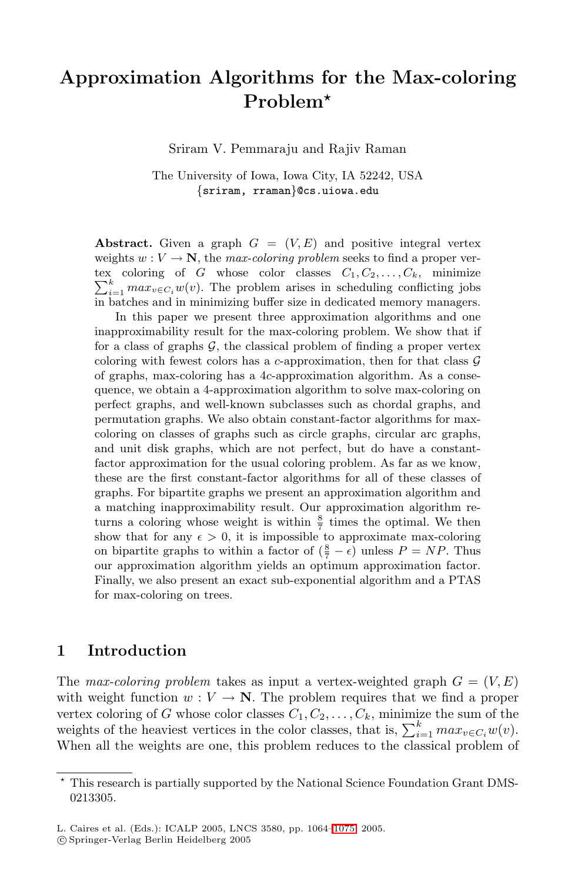# **Approximation Algorithms for the Max-coloring Problem**

Sriram V. Pemmaraju and Rajiv Raman

The University of Iowa, Iowa City, IA 52242, USA {sriram, rraman}@cs.uiowa.edu

**Abstract.** Given a graph  $G = (V, E)$  and positive integral vertex weights  $w: V \to \mathbb{N}$ , the *max-coloring problem* seeks to find a proper vertex coloring of G whose color classes  $C_1, C_2, \ldots, C_k$ , minimize  $\sum_{i=1}^{\kappa} \max_{v \in C_i} w(v)$ . The problem arises in scheduling conflicting jobs in batches and in minimizing buffer size in dedicated memory managers.

In this paper we present three approximation algorithms and one inapproximability result for the max-coloring problem. We show that if for a class of graphs  $G$ , the classical problem of finding a proper vertex coloring with fewest colors has a c-approximation, then for that class  $\mathcal G$ of graphs, max-coloring has a 4c-approximation algorithm. As a consequence, we obtain a 4-approximation algorithm to solve max-coloring on perfect graphs, and well-known subclasses such as chordal graphs, and permutation graphs. We also obtain constant-factor algorithms for maxcoloring on classes of graphs such as circle graphs, circular arc graphs, and unit disk graphs, which are not perfect, but do have a constantfactor approximation for the usual coloring problem. As far as we know, these are the first constant-factor algorithms for all of these classes of graphs. For bipartite graphs we present an approximation algorithm and a matching inapproximability result. Our approximation algorithm returns a coloring whose weight is within  $\frac{8}{7}$  times the optimal. We then show that for any  $\epsilon > 0$ , it is impossible to approximate max-coloring on bipartite graphs to within a factor of  $(\frac{8}{7} - \epsilon)$  unless  $P = NP$ . Thus our approximation algorithm yields an optimum approximation factor. Finally, we also present an exact sub-exponential algorithm and a PTAS for max-coloring on trees.

#### **1 Introduction**

The *max-coloring problem* takes as input a vertex-weighted graph  $G = (V, E)$ with weight function  $w: V \to \mathbb{N}$ . The problem requires that we find a proper vertex coloring of G whose color classes  $C_1, C_2, \ldots, C_k$ , minimize the sum of the weights of the heaviest vertices in the color classes, that is,  $\sum_{i=1}^{k} max_{v \in C_i} w(v)$ .<br>When all the weights are one, this problem reduces to the classical problem of When all the weights are one, this problem reduces to the classical problem of

This research is partially supported by the National Science Foundation Grant DMS-0213305.

<sup>-</sup>c Springer-Verlag Berlin Heidelberg 2005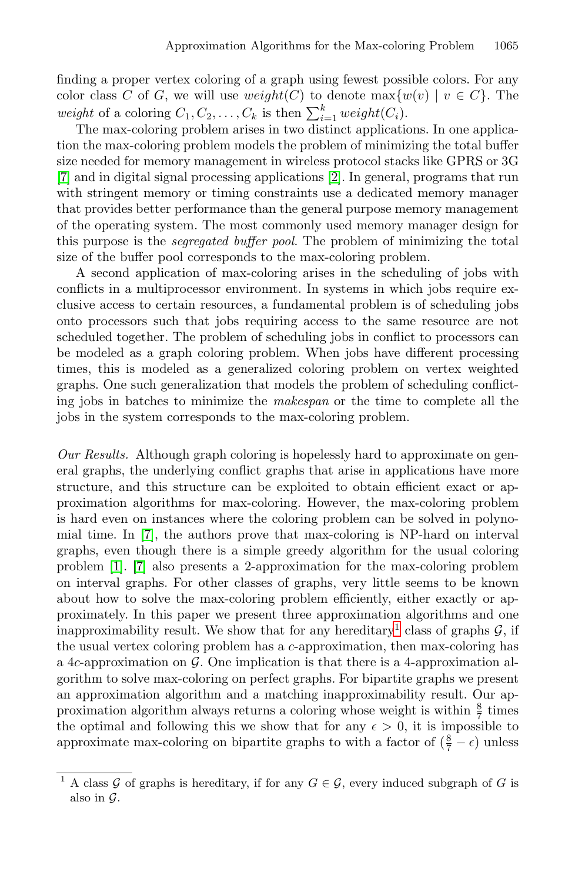finding a proper vertex coloring of a graph using fewest possible colors. For any color class C of G, we will use  $weight(C)$  to denote  $max{w(v) | v \in C}$ . The weight of a coloring  $C_1, C_2, \ldots, C_k$  is then  $\sum_{i=1}^k weight(C_i)$ .<br>The max-coloring problem arises in two distinct application

The max-coloring problem arises in two distinct applications. In one application the max-coloring problem models the problem of minimizing the total buffer size needed for memory management in wireless protocol stacks like GPRS or 3G [\[7\]](#page-11-1) and in digital signal processing applications [\[2\]](#page-11-2). In general, programs that run with stringent memory or timing constraints use a dedicated memory manager that provides better performance than the general purpose memory management of the operating system. The most commonly used memory manager design for this purpose is the *segregated buffer pool*. The problem of minimizing the total size of the buffer pool corresponds to the max-coloring problem.

A second application of max-coloring arises in the scheduling of jobs with conflicts in a multiprocessor environment. In systems in which jobs require exclusive access to certain resources, a fundamental problem is of scheduling jobs onto processors such that jobs requiring access to the same resource are not scheduled together. The problem of scheduling jobs in conflict to processors can be modeled as a graph coloring problem. When jobs have different processing times, this is modeled as a generalized coloring problem on vertex weighted graphs. One such generalization that models the problem of scheduling conflicting jobs in batches to minimize the *makespan* or the time to complete all the jobs in the system corresponds to the max-coloring problem.

*Our Results.* Although graph coloring is hopelessly hard to approximate on general graphs, the underlying conflict graphs that arise in applications have more structure, and this structure can be exploited to obtain efficient exact or approximation algorithms for max-coloring. However, the max-coloring problem is hard even on instances where the coloring problem can be solved in polynomial time. In [\[7\]](#page-11-1), the authors prove that max-coloring is NP-hard on interval graphs, even though there is a simple greedy algorithm for the usual coloring problem [\[1\]](#page-11-3). [\[7\]](#page-11-1) also presents a 2-approximation for the max-coloring problem on interval graphs. For other classes of graphs, very little seems to be known about how to solve the max-coloring problem efficiently, either exactly or approximately. In this paper we present three approximation algorithms and one inapproximability result. We show that for any hereditary<sup>[1](#page-1-0)</sup> class of graphs  $\mathcal{G}$ , if the usual vertex coloring problem has a c-approximation, then max-coloring has a 4c-approximation on  $\mathcal G$ . One implication is that there is a 4-approximation algorithm to solve max-coloring on perfect graphs. For bipartite graphs we present an approximation algorithm and a matching inapproximability result. Our approximation algorithm always returns a coloring whose weight is within  $\frac{8}{7}$  times the optimal and following this we show that for any  $\epsilon > 0$ , it is impossible to approximate max-coloring on bipartite graphs to with a factor of  $(\frac{8}{7} - \epsilon)$  unless

<span id="page-1-0"></span><sup>&</sup>lt;sup>1</sup> A class G of graphs is hereditary, if for any  $G \in \mathcal{G}$ , every induced subgraph of G is also in  $\mathcal G$ .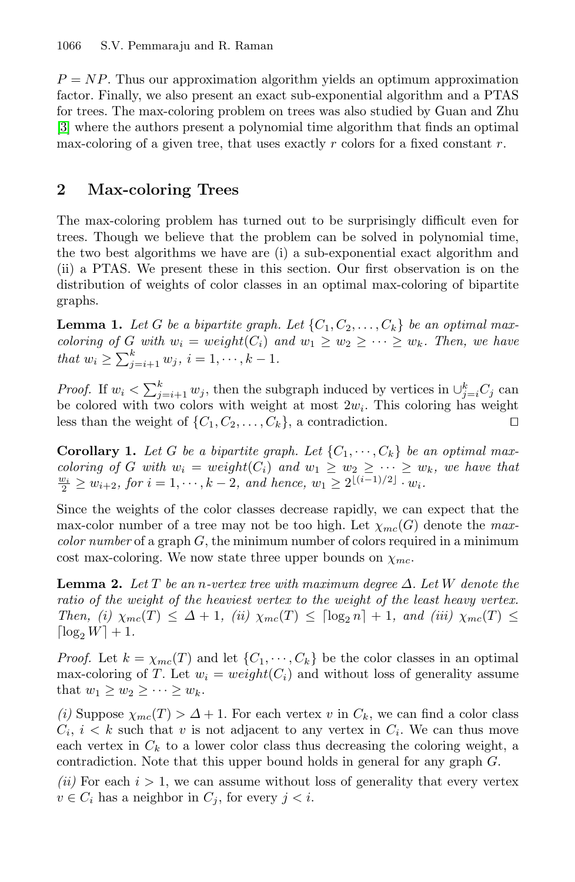$P = NP$ . Thus our approximation algorithm yields an optimum approximation factor. Finally, we also present an exact sub-exponential algorithm and a PTAS for trees. The max-coloring problem on trees was also studied by Guan and Zhu [\[3\]](#page-11-4) where the authors present a polynomial time algorithm that finds an optimal max-coloring of a given tree, that uses exactly r colors for a fixed constant  $r$ .

### **2 Max-coloring Trees**

The max-coloring problem has turned out to be surprisingly difficult even for trees. Though we believe that the problem can be solved in polynomial time, the two best algorithms we have are (i) a sub-exponential exact algorithm and (ii) a PTAS. We present these in this section. Our first observation is on the distribution of weights of color classes in an optimal max-coloring of bipartite graphs.

<span id="page-2-1"></span>**Lemma 1.** Let G be a bipartite graph. Let  $\{C_1, C_2, \ldots, C_k\}$  be an optimal max*coloring of* G with  $w_i = weight(C_i)$  and  $w_1 \geq w_2 \geq \cdots \geq w_k$ . Then, we have *that*  $w_i \ge \sum_{j=i+1}^k w_j$ ,  $i = 1, \dots, k-1$ .

*Proof.* If  $w_i < \sum_{j=i+1}^k w_j$ , then the subgraph induced by vertices in  $\bigcup_{j=i}^k C_j$  can be colored with two colors with weight at most  $2w_i$ . This coloring has weight be colored with two colors with weight at most  $2w_i$ . This coloring has weight less than the weight of  $\{C_1, C_2, \ldots, C_k\}$ , a contradiction. less than the weight of  $\{C_1, C_2, \ldots, C_k\}$ , a contradiction.

<span id="page-2-0"></span>**Corollary 1.** Let G be a bipartite graph. Let  $\{C_1, \dots, C_k\}$  be an optimal max*coloring of* G with  $w_i = weight(C_i)$  and  $w_1 \geq w_2 \geq \cdots \geq w_k$ , we have that  $\frac{w_i}{2} \geq w_{i+2}$ , for  $i = 1, \dots, k-2$ , and hence,  $w_1 \geq 2^{\lfloor (i-1)/2 \rfloor} \cdot w_i$ .

Since the weights of the color classes decrease rapidly, we can expect that the max-color number of a tree may not be too high. Let  $\chi_{mc}(G)$  denote the *maxcolor number* of a graph G, the minimum number of colors required in a minimum cost max-coloring. We now state three upper bounds on  $\chi_{mc}$ .

<span id="page-2-2"></span>**Lemma 2.** Let  $T$  be an n-vertex tree with maximum degree  $\Delta$ . Let  $W$  denote the *ratio of the weight of the heaviest vertex to the weight of the least heavy vertex. Then, (i)*  $\chi_{mc}(T) \leq \Delta + 1$ , *(ii)*  $\chi_{mc}(T) \leq \lceil \log_2 n \rceil + 1$ , and *(iii)*  $\chi_{mc}(T) \leq$  $\log_2 W$  + 1.

*Proof.* Let  $k = \chi_{mc}(T)$  and let  $\{C_1, \dots, C_k\}$  be the color classes in an optimal max-coloring of T. Let  $w_i = weight(C_i)$  and without loss of generality assume that  $w_1 \geq w_2 \geq \cdots \geq w_k$ .

*(i)* Suppose  $\chi_{mc}(T) > \Delta + 1$ . For each vertex v in  $C_k$ , we can find a color class  $C_i$ ,  $i < k$  such that v is not adjacent to any vertex in  $C_i$ . We can thus move each vertex in  $C_k$  to a lower color class thus decreasing the coloring weight, a contradiction. Note that this upper bound holds in general for any graph G.

 $(ii)$  For each  $i > 1$ , we can assume without loss of generality that every vertex  $v \in C_i$  has a neighbor in  $C_j$ , for every  $j < i$ .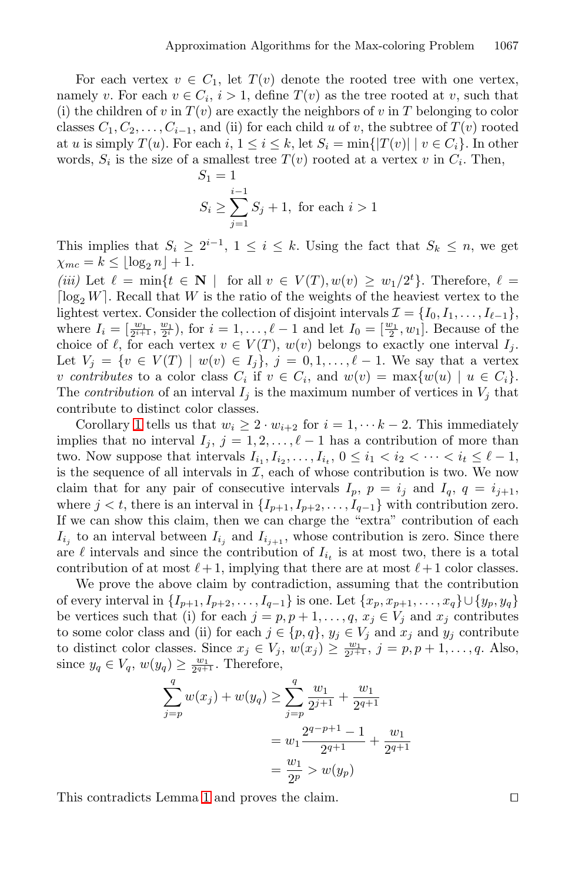For each vertex  $v \in C_1$ , let  $T(v)$  denote the rooted tree with one vertex, namely v. For each  $v \in C_i$ ,  $i > 1$ , define  $T(v)$  as the tree rooted at v, such that (i) the children of v in  $T(v)$  are exactly the neighbors of v in T belonging to color classes  $C_1, C_2, \ldots, C_{i-1}$ , and (ii) for each child u of v, the subtree of  $T(v)$  rooted at u is simply  $T(u)$ . For each i,  $1 \leq i \leq k$ , let  $S_i = \min\{|T(v)| \mid v \in C_i\}$ . In other words,  $S_i$  is the size of a smallest tree  $T(v)$  rooted at a vertex v in  $C_i$ . Then,

$$
S_1 = 1
$$
  

$$
S_i \ge \sum_{j=1}^{i-1} S_j + 1
$$
, for each  $i > 1$ 

This implies that  $S_i \geq 2^{i-1}$ ,  $1 \leq i \leq k$ . Using the fact that  $S_k \leq n$ , we get  $\chi_{mc} = k \leq \lfloor \log_2 n \rfloor + 1.$ 

(*iii*) Let  $\ell = \min\{t \in \mathbb{N} \mid \text{for all } v \in V(T), w(v) \geq w_1/2^t\}$ . Therefore,  $\ell =$ <br>[log, W], Becall that W is the ratio of the weights of the heaviest vertex to the  $\lceil \log_2 W \rceil$ . Recall that W is the ratio of the weights of the heaviest vertex to the lightest vertex. Consider the collection of disjoint intervals  $\mathcal{I} = \{I_0, I_1, \ldots, I_{\ell-1}\},\$ where  $I_i = \left[\frac{w_1}{2^{i+1}}, \frac{w_1}{2^i}\right)$ , for  $i = 1, \ldots, \ell-1$  and let  $I_0 = \left[\frac{w_1}{2}, w_1\right]$ . Because of the choice of  $\ell$  for each vertex  $v \in V(T)$ ,  $w(v)$  belongs to exactly one interval L choice of  $\ell$ , for each vertex  $v \in V(T)$ ,  $w(v)$  belongs to exactly one interval  $I_j$ . Let  $V_j = \{v \in V(T) \mid w(v) \in I_j\}, j = 0, 1, ..., \ell - 1$ . We say that a vertex v contributes to a color class  $C_i$  if  $v \in C_i$ , and  $w(v) = \max\{w(u) \mid u \in C_i\}$ . The *contribution* of an interval  $I_j$  is the maximum number of vertices in  $V_j$  that contribute to distinct color classes.

Corollary [1](#page-2-0) tells us that  $w_i \geq 2 \cdot w_{i+2}$  for  $i = 1, \dots k-2$ . This immediately implies that no interval  $I_j$ ,  $j = 1, 2, \ldots, \ell - 1$  has a contribution of more than two. Now suppose that intervals  $I_{i_1}, I_{i_2}, \ldots, I_{i_t}, 0 \leq i_1 < i_2 < \cdots < i_t \leq \ell - 1$ , is the sequence of all intervals in  $\mathcal{I}$ , each of whose contribution is two. We now claim that for any pair of consecutive intervals  $I_p$ ,  $p = i_j$  and  $I_q$ ,  $q = i_{j+1}$ , where  $j < t$ , there is an interval in  $\{I_{p+1}, I_{p+2}, \ldots, I_{q-1}\}$  with contribution zero. If we can show this claim, then we can charge the "extra" contribution of each  $I_{i_j}$  to an interval between  $I_{i_j}$  and  $I_{i_{j+1}}$ , whose contribution is zero. Since there are  $\ell$  intervals and since the contribution of  $I_{i_t}$  is at most two, there is a total contribution of at most  $\ell + 1$ , implying that there are at most  $\ell + 1$  color classes.

We prove the above claim by contradiction, assuming that the contribution of every interval in  $\{I_{p+1}, I_{p+2},..., I_{q-1}\}$  is one. Let  $\{x_p, x_{p+1},..., x_q\} \cup \{y_p, y_q\}$ be vertices such that (i) for each  $j = p, p + 1, \ldots, q, x_j \in V_j$  and  $x_j$  contributes to some color class and (ii) for each  $j \in \{p,q\}$ ,  $y_j \in V_j$  and  $x_j$  and  $y_j$  contribute to distinct color classes. Since  $x_j \in V_j$ ,  $w(x_j) \ge \frac{w_1}{2^{j+1}}$ ,  $j = p, p + 1, \ldots, q$ . Also, since  $y_q \in V_q$ ,  $w(y_q) \ge \frac{w_1}{2^{q+1}}$ . Therefore,

$$
\sum_{j=p}^{q} w(x_j) + w(y_q) \ge \sum_{j=p}^{q} \frac{w_1}{2^{j+1}} + \frac{w_1}{2^{q+1}}
$$
  
=  $w_1 \frac{2^{q-p+1} - 1}{2^{q+1}} + \frac{w_1}{2^{q+1}}$   
=  $\frac{w_1}{2^p} > w(y_p)$ 

This contradicts Lemma [1](#page-2-1) and proves the claim.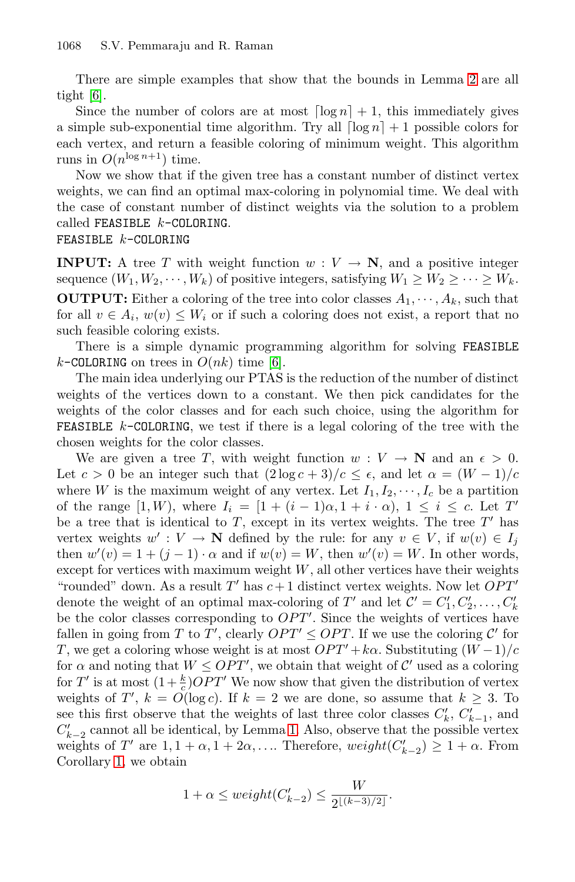There are simple examples that show that the bounds in Lemma [2](#page-2-2) are all tight [\[6\]](#page-11-5).

Since the number of colors are at most  $\lceil \log n \rceil + 1$ , this immediately gives a simple sub-exponential time algorithm. Try all  $\lceil \log n \rceil + 1$  possible colors for each vertex, and return a feasible coloring of minimum weight. This algorithm runs in  $O(n^{\log n+1})$  time.

Now we show that if the given tree has a constant number of distinct vertex weights, we can find an optimal max-coloring in polynomial time. We deal with the case of constant number of distinct weights via the solution to a problem called FEASIBLE  $k$ -COLORING.

#### FEASIBLE k-COLORING

**INPUT:** A tree T with weight function  $w: V \to \mathbb{N}$ , and a positive integer sequence  $(W_1, W_2, \dots, W_k)$  of positive integers, satisfying  $W_1 \geq W_2 \geq \dots \geq W_k$ . **OUTPUT:** Either a coloring of the tree into color classes  $A_1, \dots, A_k$ , such that for all  $v \in A_i$ ,  $w(v) \leq W_i$  or if such a coloring does not exist, a report that no such feasible coloring exists.

There is a simple dynamic programming algorithm for solving FEASIBLE k-COLORING on trees in  $O(nk)$  time [\[6\]](#page-11-5).

The main idea underlying our PTAS is the reduction of the number of distinct weights of the vertices down to a constant. We then pick candidates for the weights of the color classes and for each such choice, using the algorithm for **FEASIBLE**  $k$ -COLORING, we test if there is a legal coloring of the tree with the chosen weights for the color classes.

We are given a tree T, with weight function  $w: V \to \mathbb{N}$  and an  $\epsilon > 0$ . Let  $c > 0$  be an integer such that  $(2 \log c + 3)/c \leq \epsilon$ , and let  $\alpha = (W - 1)/c$ where W is the maximum weight of any vertex. Let  $I_1, I_2, \dots, I_c$  be a partition of the range  $[1, W)$ , where  $I_i = [1 + (i - 1)\alpha, 1 + i \cdot \alpha)$ ,  $1 \leq i \leq c$ . Let T' be a tree that is identical to  $T$ , except in its vertex weights. The tree  $T'$  has vertex weights  $w' : V \to \mathbb{N}$  defined by the rule: for any  $v \in V$ , if  $w(v) \in I_i$ then  $w'(v) = 1 + (j - 1) \cdot \alpha$  and if  $w(v) = W$ , then  $w'(v) = W$ . In other words,<br>except for vertices with maximum weight W all other vertices have their weights except for vertices with maximum weight  $W$ , all other vertices have their weights "rounded" down. As a result T' has  $c+1$  distinct vertex weights. Now let  $OPT'$ denote the weight of an optimal max-coloring of T' and let  $\mathcal{C}' = C'_1, C'_2, \ldots, C'_k$ <br>be the color classes corresponding to  $OPT'$ . Since the weights of vertices have be the color classes corresponding to  $OPT'$ . Since the weights of vertices have fallen in going from  $T$  to  $T'$  clearly  $OPT' < OPT$ . If we use the coloring  $C'$  for fallen in going from T to T', clearly  $OPT' \leq OPT$ . If we use the coloring C' for T we get a coloring whose weight is at most  $OPT' + k\alpha$  Substituting  $(W-1)/\alpha$ T, we get a coloring whose weight is at most  $OPT' + k\alpha$ . Substituting  $(W - 1)/c$ for  $\alpha$  and noting that  $W \leq OPT'$ , we obtain that weight of C' used as a coloring<br>for T' is at most  $(1 + k)OPT'$ . We now show that given the distribution of vertex for T' is at most  $(1+\frac{k}{c})OPT'$  We now show that given the distribution of vertex<br>weights of  $T'$   $k = O(\log c)$ . If  $k = 2$  we are done, so assume that  $k \geq 3$ . To weights of  $T'$ ,  $k = O(\log c)$ . If  $k = 2$  we are done, so assume that  $k \geq 3$ . To see this first observe that the weights of last three color classes  $C'_{k}$ ,  $C'_{k-1}$ , and  $C'$  cannot all be identical by Lemma 1. Also observe that the possible vertex  $C'_{k-2}$  cannot all be identical, by Lemma [1.](#page-2-1) Also, observe that the possible vertex<br>weights of  $T'$  are  $1, 1 + \alpha, 1 + 2\alpha$ . Therefore weight( $C' > 1 + \alpha$ . From weights of T' are  $1, 1 + \alpha, 1 + 2\alpha, \ldots$  Therefore,  $weight(C_{k-2}') \geq 1 + \alpha$ . From Corollary [1,](#page-2-0) we obtain

$$
1 + \alpha \leq weight(C'_{k-2}) \leq \frac{W}{2^{\lfloor (k-3)/2 \rfloor}}.
$$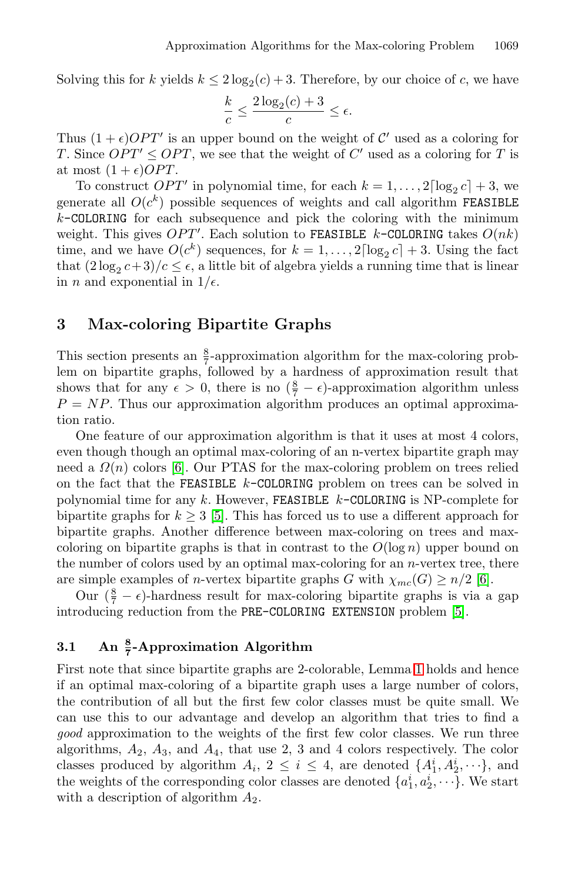Solving this for k yields  $k \leq 2 \log_2(c) + 3$ . Therefore, by our choice of c, we have

$$
\frac{k}{c} \le \frac{2\log_2(c) + 3}{c} \le \epsilon.
$$

Thus  $(1 + \epsilon)OPT'$  is an upper bound on the weight of C' used as a coloring for T is T since  $OPT' < OPT$  we see that the weight of C' used as a coloring for T is T. Since  $OPT' \leq OPT$ , we see that the weight of C' used as a coloring for T is at most  $(1 + \epsilon)OPT$ .

To construct *OPT'* in polynomial time, for each  $k = 1, ..., 2\lceil \log_2 c \rceil + 3$ , we generate all  $O(c^k)$  possible sequences of weights and call algorithm FEASIBLE  $k$ -COLORING for each subsequence and pick the coloring with the minimum weight. This gives  $OPT'$ . Each solution to FEASIBLE k-COLORING takes  $O(nk)$ <br>time and we have  $O(c^k)$  sequences for  $k-1$  allog  $c^1 + 3$ . Using the fact time, and we have  $O(c^k)$  sequences, for  $k = 1, \ldots, 2\lceil \log_2 c \rceil + 3$ . Using the fact that  $(2\log_2 c+3)/c \leq \epsilon$ , a little bit of algebra yields a running time that is linear in *n* and exponential in  $1/\epsilon$ .

#### **3 Max-coloring Bipartite Graphs**

This section presents an  $\frac{8}{7}$ -approximation algorithm for the max-coloring problem on bipartite graphs, followed by a hardness of approximation result that shows that for any  $\epsilon > 0$ , there is no  $(\frac{8}{7} - \epsilon)$ -approximation algorithm unless  $P - NP$ . Thus our approximation algorithm produces an optimal approxima- $P = NP$ . Thus our approximation algorithm produces an optimal approximation ratio.

One feature of our approximation algorithm is that it uses at most 4 colors, even though though an optimal max-coloring of an n-vertex bipartite graph may need a  $\Omega(n)$  colors [\[6\]](#page-11-5). Our PTAS for the max-coloring problem on trees relied on the fact that the FEASIBLE  $k$ -COLORING problem on trees can be solved in polynomial time for any k. However, FEASIBLE  $k$ -COLORING is NP-complete for bipartite graphs for  $k \geq 3$  [\[5\]](#page-11-6). This has forced us to use a different approach for bipartite graphs. Another difference between max-coloring on trees and maxcoloring on bipartite graphs is that in contrast to the  $O(\log n)$  upper bound on the number of colors used by an optimal max-coloring for an n-vertex tree, there are simple examples of *n*-vertex bipartite graphs G with  $\chi_{mc}(G) \geq n/2$  [\[6\]](#page-11-5).

Our  $(\frac{8}{7} - \epsilon)$ -hardness result for max-coloring bipartite graphs is via a gap<br>coducing reduction from the PRE-COLORING EXTENSION problem [5] introducing reduction from the PRE-COLORING EXTENSION problem [\[5\]](#page-11-6).

## **3.1 An <sup>8</sup> <sup>7</sup> -Approximation Algorithm**

First note that since bipartite graphs are 2-colorable, Lemma [1](#page-2-1) holds and hence if an optimal max-coloring of a bipartite graph uses a large number of colors, the contribution of all but the first few color classes must be quite small. We can use this to our advantage and develop an algorithm that tries to find a *good* approximation to the weights of the first few color classes. We run three algorithms,  $A_2$ ,  $A_3$ , and  $A_4$ , that use 2, 3 and 4 colors respectively. The color classes produced by algorithm  $A_i$ ,  $2 \leq i \leq 4$ , are denoted  $\{A_1^i, A_2^i, \dots\}$ , and the weights of the corresponding color classes are denoted  $\{a_i^i, a_i^i, \dots\}$ . We start the weights of the corresponding color classes are denoted  $\{a_1^i, a_2^i, \dots\}$ . We start<br>with a description of algorithm  $A_2$ with a description of algorithm  $A_2$ .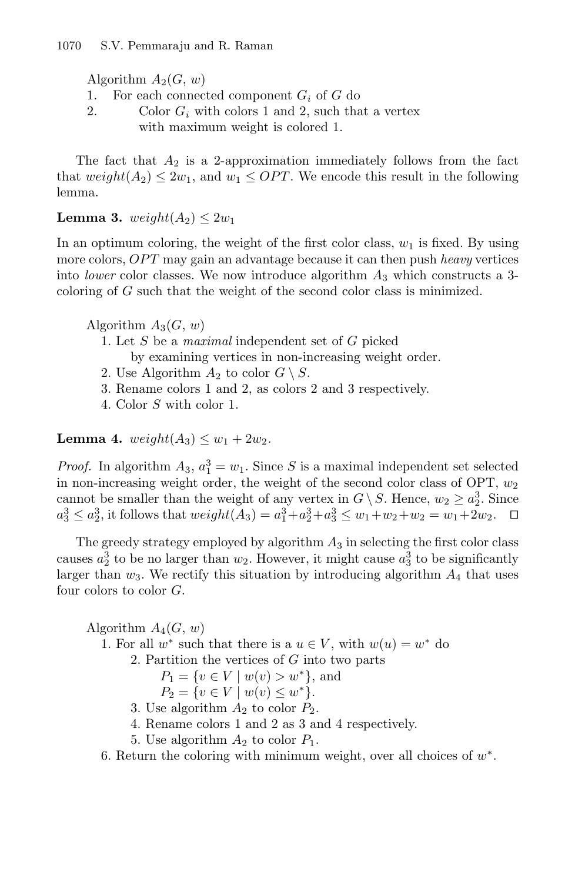- Algorithm  $A_2(G, w)$ <br>1. For each connect 1. For each connected component  $G_i$  of G do<br>2. Color  $G_i$  with colors 1 and 2, such that
- Color  $G_i$  with colors 1 and 2, such that a vertex with maximum weight is colored 1.

The fact that  $A_2$  is a 2-approximation immediately follows from the fact that  $weight(A_2) \leq 2w_1$ , and  $w_1 \leq OPT$ . We encode this result in the following lemma.

<span id="page-6-0"></span>**Lemma 3.** weight $(A_2) \leq 2w_1$ 

In an optimum coloring, the weight of the first color class,  $w_1$  is fixed. By using more colors, OPT may gain an advantage because it can then push *heavy* vertices into *lower* color classes. We now introduce algorithm  $A_3$  which constructs a 3coloring of G such that the weight of the second color class is minimized.

Algorithm  $A_3(G, w)$ 

1. Let S be a *maximal* independent set of G picked

by examining vertices in non-increasing weight order.

- 2. Use Algorithm  $A_2$  to color  $G \setminus S$ .
- 3. Rename colors 1 and 2, as colors 2 and 3 respectively.
- 4. Color S with color 1.

<span id="page-6-1"></span>**Lemma 4.**  $weight(A_3) \leq w_1 + 2w_2$ .

*Proof.* In algorithm  $A_3$ ,  $a_1^3 = w_1$ . Since S is a maximal independent set selected<br>in non-increasing weight order, the weight of the second color class of OPT,  $w_2$ in non-increasing weight order, the weight of the second color class of OPT,  $w_2$ cannot be smaller than the weight of any vertex in  $G \setminus S$ . Hence,  $w_2 \ge a_2^3$ . Since  $a_3^3 < a_3^3$  it follows that weight( $A_2$ )  $= a_3^3 + a_3^3 + a_3^3 \le w_1 + w_2 + w_3 = w_1 + 2w_2$ .  $a_3^3 \le a_2^3$ , it follows that  $weight(A_3) = a_1^3 + a_2^3 + a_3^3 \le w_1 + w_2 + w_2 = w_1 + 2w_2$ .  $\Box$ 

The greedy strategy employed by algorithm  $A_3$  in selecting the first color class causes  $a_2^3$  to be no larger than  $w_2$ . However, it might cause  $a_3^3$  to be significantly larger than  $w_2$ . We rectify this situation by introducing algorithm  $A$ , that uses larger than  $w_3$ . We rectify this situation by introducing algorithm  $A_4$  that uses four colors to color  $G$ .

Algorithm  $A_4(G, w)$ 

- 1. For all  $w^*$  such that there is a  $u \in V$ , with  $w(u) = w^*$  do
	- 2. Partition the vertices of G into two parts

 $P_1 = \{v \in V \mid w(v) > w^*\},\$ and

$$
P_2 = \{ v \in V \mid w(v) \le w^* \}.
$$

- 3. Use algorithm  $A_2$  to color  $P_2$ .<br>
4. Bename colors 1 and 2 as 3 at
- 4. Rename colors 1 and 2 as 3 and 4 respectively.
- 5. Use algorithm  $A_2$  to color  $P_1$ .

6. Return the coloring with minimum weight, over all choices of  $w^*$ .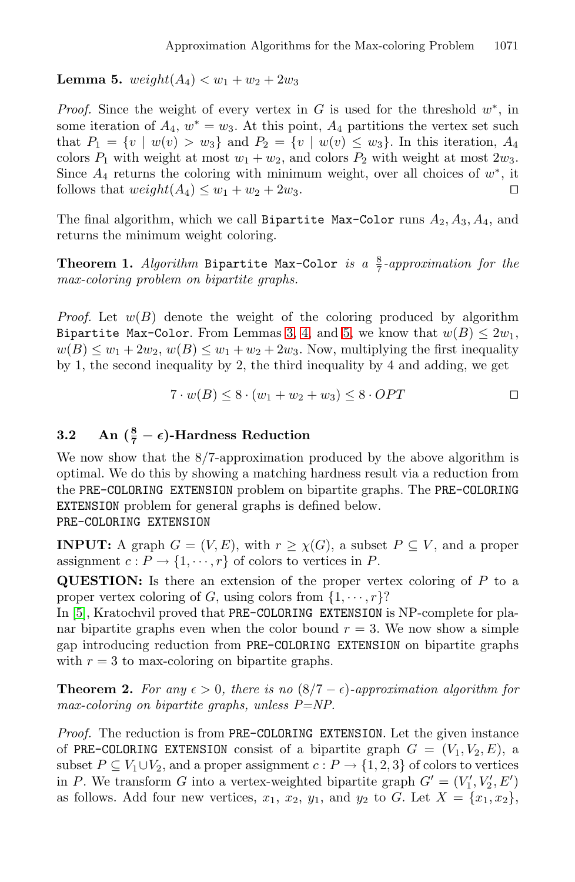<span id="page-7-0"></span>**Lemma 5.**  $weight(A_4) < w_1 + w_2 + 2w_3$ 

*Proof.* Since the weight of every vertex in G is used for the threshold  $w^*$ , in some iteration of  $A_4$ ,  $w^* = w_3$ . At this point,  $A_4$  partitions the vertex set such that  $P_1 = \{v \mid w(v) > w_3\}$  and  $P_2 = \{v \mid w(v) \leq w_3\}$ . In this iteration,  $A_4$ colors  $P_1$  with weight at most  $w_1 + w_2$ , and colors  $P_2$  with weight at most  $2w_3$ . Since  $A_4$  returns the coloring with minimum weight, over all choices of  $w^*$ , it follows that  $weight(A_4) \leq w_1 + w_2 + 2w_3$ . follows that  $weight(A_4) \leq w_1 + w_2 + 2w_3$ .

<span id="page-7-1"></span>The final algorithm, which we call Bipartite Max-Color runs  $A_2, A_3, A_4$ , and returns the minimum weight coloring.

**Theorem 1.** *Algorithm* Bipartite Max-Color *is a*  $\frac{8}{7}$ -approximation for the *max-coloring problem on bipartite graphs.*

*Proof.* Let  $w(B)$  denote the weight of the coloring produced by algorithm Bipartite Max-Color. From Lemmas [3,](#page-6-0) [4,](#page-6-1) and [5,](#page-7-0) we know that  $w(B) \leq 2w_1$ ,  $w(B) \leq w_1 + 2w_2, w(B) \leq w_1 + w_2 + 2w_3$ . Now, multiplying the first inequality by 1, the second inequality by 2, the third inequality by 4 and adding, we get

$$
7 \cdot w(B) \le 8 \cdot (w_1 + w_2 + w_3) \le 8 \cdot OPT \qquad \qquad \Box
$$

## **3.2** An  $(\frac{8}{7} - \epsilon)$ -Hardness Reduction

We now show that the 8/7-approximation produced by the above algorithm is optimal. We do this by showing a matching hardness result via a reduction from the PRE-COLORING EXTENSION problem on bipartite graphs. The PRE-COLORING EXTENSION problem for general graphs is defined below. PRE-COLORING EXTENSION

**INPUT:** A graph  $G = (V, E)$ , with  $r \geq \chi(G)$ , a subset  $P \subseteq V$ , and a proper assignment  $c: P \to \{1, \dots, r\}$  of colors to vertices in P.

**QUESTION:** Is there an extension of the proper vertex coloring of P to a proper vertex coloring of G, using colors from  $\{1, \dots, r\}$ ?

In [\[5\]](#page-11-6), Kratochvil proved that PRE-COLORING EXTENSION is NP-complete for planar bipartite graphs even when the color bound  $r = 3$ . We now show a simple gap introducing reduction from PRE-COLORING EXTENSION on bipartite graphs with  $r = 3$  to max-coloring on bipartite graphs.

**Theorem 2.** For any  $\epsilon > 0$ , there is no  $(8/7 - \epsilon)$ -approximation algorithm for *max-coloring on bipartite graphs, unless P=NP.*

*Proof.* The reduction is from PRE-COLORING EXTENSION. Let the given instance of PRE-COLORING EXTENSION consist of a bipartite graph  $G = (V_1, V_2, E)$ , a subset  $P \subseteq V_1 \cup V_2$ , and a proper assignment  $c : P \to \{1,2,3\}$  of colors to vertices in P. We transform G into a vertex-weighted bipartite graph  $G' = (V'_1, V'_2, E')$ <br>as follows. Add four new vertices  $x_1, x_2, y_1$  and  $y_2$  to  $G$ . Let  $X = \{x_1, x_2\}$ as follows. Add four new vertices,  $x_1, x_2, y_1$ , and  $y_2$  to G. Let  $X = \{x_1, x_2\}$ ,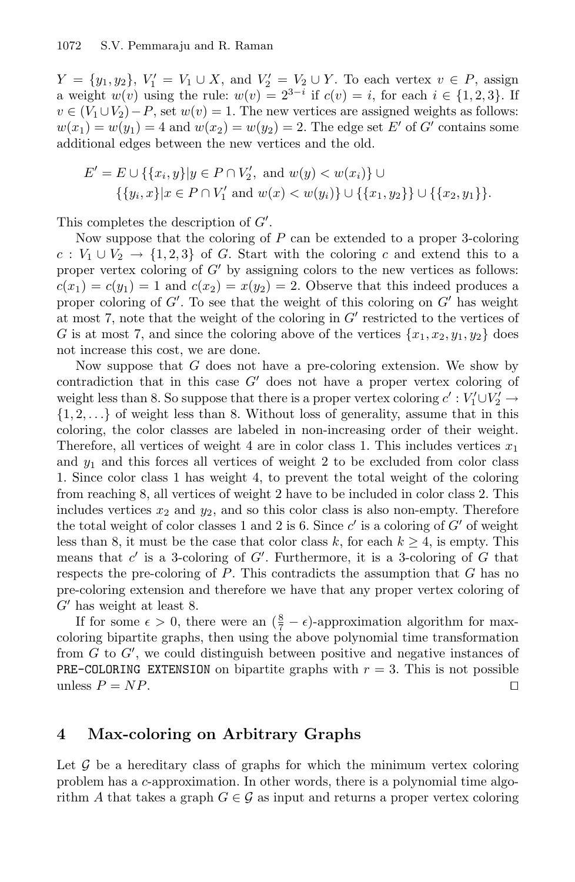$Y = \{y_1, y_2\}, V'_1 = V_1 \cup X$ , and  $V'_2 = V_2 \cup Y$ . To each vertex  $v \in P$ , assign a weight  $w(v)$  using the rule:  $w(v) = 2^{3-i}$  if  $c(v) = i$  for each  $i \in I$  1.2.31. If a weight  $w(v)$  using the rule:  $w(v)=2^{3-i}$  if  $c(v)=i$ , for each  $i \in \{1,2,3\}$ . If  $v \in (V_1 \cup V_2) - P$ , set  $w(v) = 1$ . The new vertices are assigned weights as follows:  $w(x_1) = w(y_1) = 4$  and  $w(x_2) = w(y_2) = 2$ . The edge set E' of G' contains some additional edges between the new vertices and the old.

$$
E' = E \cup \{\{x_i, y\} | y \in P \cap V_2', \text{ and } w(y) < w(x_i)\} \cup \{\{y_i, x\} | x \in P \cap V_1' \text{ and } w(x) < w(y_i)\} \cup \{\{x_1, y_2\}\} \cup \{\{x_2, y_1\}\}.
$$

This completes the description of  $G'$ .<br>Now suppose that the coloring of

Now suppose that the coloring of  $P$  can be extended to a proper 3-coloring  $c: V_1 \cup V_2 \rightarrow \{1,2,3\}$  of G. Start with the coloring c and extend this to a proper vertex coloring of  $G'$  by assigning colors to the new vertices as follows:  $c(x_1) = c(y_1) = 1$  and  $c(x_2) = x(y_2) = 2$ . Observe that this indeed produces a proper coloring of  $G'$ . To see that the weight of this coloring on  $G'$  has weight<br>at most 7 note that the weight of the coloring in  $G'$  restricted to the vertices of at most 7, note that the weight of the coloring in  $G'$  restricted to the vertices of G is at most 7, and since the coloring above of the vertices  $\{x_1, x_2, y_1, y_2\}$  does not increase this cost, we are done.

Now suppose that  $G$  does not have a pre-coloring extension. We show by contradiction that in this case  $G'$  does not have a proper vertex coloring of weight less than 8. So suppose that there is a proper vertex coloring  $c' : V'_1 \cup V'_2 \rightarrow$ <br>11.2 → L of weight less than 8. Without loss of generality, assume that in this  $\{1, 2, \ldots\}$  of weight less than 8. Without loss of generality, assume that in this coloring, the color classes are labeled in non-increasing order of their weight. Therefore, all vertices of weight 4 are in color class 1. This includes vertices  $x_1$ and  $y_1$  and this forces all vertices of weight 2 to be excluded from color class 1. Since color class 1 has weight 4, to prevent the total weight of the coloring from reaching 8, all vertices of weight 2 have to be included in color class 2. This includes vertices  $x_2$  and  $y_2$ , and so this color class is also non-empty. Therefore the total weight of color classes 1 and 2 is 6. Since  $c'$  is a coloring of  $G'$  of weight less than 8, it must be the case that color class k, for each  $k \geq 4$ , is empty. This means that  $c'$  is a 3-coloring of  $G'$ . Furthermore, it is a 3-coloring of  $G$  that respects the pre-coloring of  $P$ . This contradicts the assumption that  $G$  has no respects the pre-coloring of  $P$ . This contradicts the assumption that  $G$  has no pre-coloring extension and therefore we have that any proper vertex coloring of  $G'$  has weight at least 8.

If for some  $\epsilon > 0$ , there were an  $(\frac{8}{7} - \epsilon)$ -approximation algorithm for max-<br>principle intervals the using the above polynomial time transformation coloring bipartite graphs, then using the above polynomial time transformation from G to G', we could distinguish between positive and negative instances of<br>**PRE-COLORING EXTENSION** on bipartite graphs with  $r = 3$ . This is not possible **PRE-COLORING EXTENSION** on bipartite graphs with  $r = 3$ . This is not possible unless  $P = NP$ . unless  $P = NP$ .

### **4 Max-coloring on Arbitrary Graphs**

Let  $\mathcal G$  be a hereditary class of graphs for which the minimum vertex coloring problem has a c-approximation. In other words, there is a polynomial time algorithm A that takes a graph  $G \in \mathcal{G}$  as input and returns a proper vertex coloring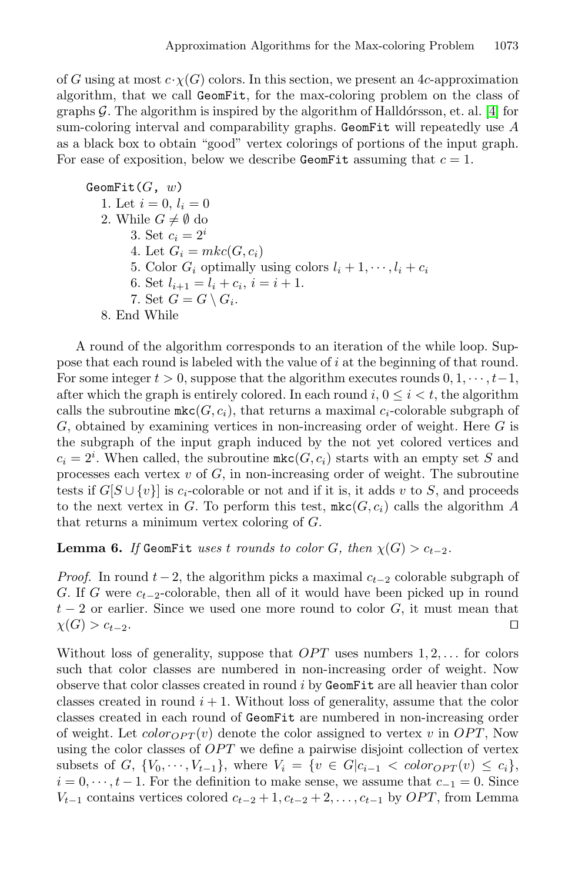of G using at most  $c \cdot \chi(G)$  colors. In this section, we present an 4c-approximation algorithm, that we call GeomFit, for the max-coloring problem on the class of graphs  $\mathcal G$ . The algorithm is inspired by the algorithm of Halldórsson, et. al. [\[4\]](#page-11-7) for sum-coloring interval and comparability graphs. GeomFit will repeatedly use  $A$ as a black box to obtain "good" vertex colorings of portions of the input graph. For ease of exposition, below we describe GeomFit assuming that  $c = 1$ .

 $GeomFit(G, w)$ 1. Let  $i = 0, l_i = 0$ 2. While  $G \neq \emptyset$  do 3. Set  $c_i = 2^i$ 4. Let  $G_i = mkc(G, c_i)$ 5. Color  $G_i$  optimally using colors  $l_i + 1, \dots, l_i + c_i$ 6. Set  $l_{i+1} = l_i + c_i, i = i+1.$ 7. Set  $G = G \setminus G_i$ . 8. End While

A round of the algorithm corresponds to an iteration of the while loop. Suppose that each round is labeled with the value of i at the beginning of that round. For some integer  $t > 0$ , suppose that the algorithm executes rounds  $0, 1, \dots, t-1$ , after which the graph is entirely colored. In each round  $i, 0 \leq i < t$ , the algorithm calls the subroutine  $\mathtt{mkc}(G, c_i)$ , that returns a maximal  $c_i$ -colorable subgraph of  $G$ , obtained by examining vertices in non-increasing order of weight. Here  $G$  is the subgraph of the input graph induced by the not yet colored vertices and  $c_i = 2^i$ . When called, the subroutine  $\text{mkc}(G, c_i)$  starts with an empty set S and<br>processes each vertex  $v$  of G in pop-increasing order of weight. The subroutine processes each vertex  $v$  of  $G$ , in non-increasing order of weight. The subroutine tests if  $G[S \cup \{v\}]$  is  $c_i$ -colorable or not and if it is, it adds v to S, and proceeds to the next vertex in G. To perform this test,  $\text{mkc}(G, c_i)$  calls the algorithm A that returns a minimum vertex coloring of G.

<span id="page-9-0"></span>**Lemma 6.** *If* GeomFit *uses* t *rounds* to color G, then  $\chi(G) > c_{t-2}$ .

*Proof.* In round  $t - 2$ , the algorithm picks a maximal  $c_{t-2}$  colorable subgraph of G. If G were  $c_{t-2}$ -colorable, then all of it would have been picked up in round  $t - 2$  or earlier. Since we used one more round to color *G*, it must mean that  $\chi(G) > c_{t-2}$ . □  $\chi(G) > c_{t-2}$ .

Without loss of generality, suppose that  $OPT$  uses numbers  $1, 2, \ldots$  for colors such that color classes are numbered in non-increasing order of weight. Now observe that color classes created in round  $i$  by GeomFit are all heavier than color classes created in round  $i + 1$ . Without loss of generality, assume that the color classes created in each round of GeomFit are numbered in non-increasing order of weight. Let  $color_{OPT}(v)$  denote the color assigned to vertex v in OPT, Now using the color classes of OPT we define a pairwise disjoint collection of vertex subsets of G,  $\{V_0, \dots, V_{t-1}\}\$ , where  $V_i = \{v \in G | c_{i-1} < color_{OPT}(v) \leq c_i\}$ ,  $i = 0, \dots, t-1$ . For the definition to make sense, we assume that  $c_{-1} = 0$ . Since  $V_{t-1}$  contains vertices colored  $c_{t-2} + 1, c_{t-2} + 2, \ldots, c_{t-1}$  by  $OPT$ , from Lemma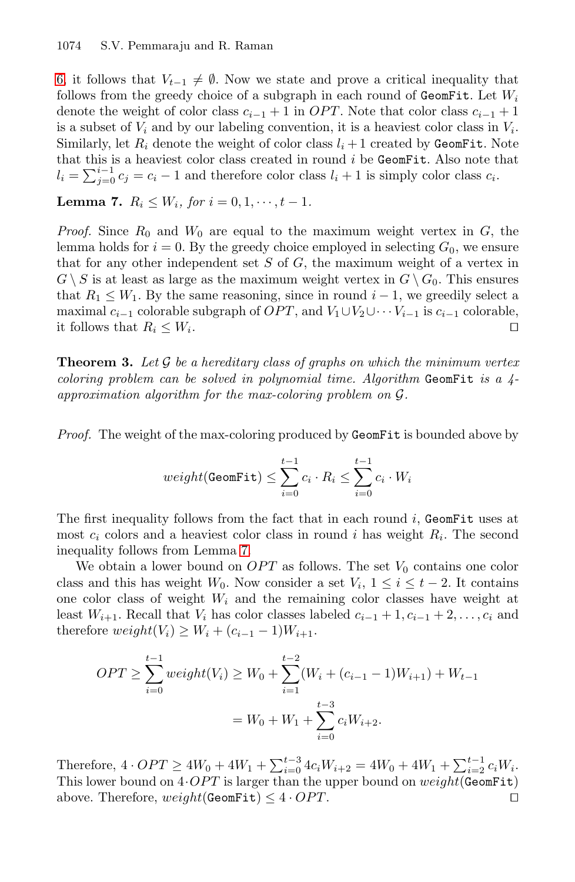[6,](#page-9-0) it follows that  $V_{t-1} \neq \emptyset$ . Now we state and prove a critical inequality that follows from the greedy choice of a subgraph in each round of GeomFit. Let  $W_i$ denote the weight of color class  $c_{i-1} + 1$  in *OPT*. Note that color class  $c_{i-1} + 1$ is a subset of  $V_i$  and by our labeling convention, it is a heaviest color class in  $V_i$ . Similarly, let  $R_i$  denote the weight of color class  $l_i + 1$  created by GeomFit. Note that this is a heaviest color class created in round  $i$  be GeomFit. Also note that  $l_i = \sum_{j=0}^{i-1} c_j = c_i - 1$  and therefore color class  $l_i + 1$  is simply color class  $c_i$ .

<span id="page-10-0"></span>**Lemma 7.**  $R_i \leq W_i$ , for  $i = 0, 1, \dots, t - 1$ .

*Proof.* Since  $R_0$  and  $W_0$  are equal to the maximum weight vertex in  $G$ , the lemma holds for  $i = 0$ . By the greedy choice employed in selecting  $G_0$ , we ensure that for any other independent set  $S$  of  $G$ , the maximum weight of a vertex in  $G \setminus S$  is at least as large as the maximum weight vertex in  $G \setminus G_0$ . This ensures that  $R_1 \leq W_1$ . By the same reasoning, since in round  $i - 1$ , we greedily select a maximal  $c_{i-1}$  colorable subgraph of  $OPT$ , and  $V_1 \cup V_2 \cup \cdots V_{i-1}$  is  $c_{i-1}$  colorable, it follows that  $R_i \leq W_i$ . □ it follows that  $R_i \leq W_i$ .

**Theorem 3.** *Let* G *be a hereditary class of graphs on which the minimum vertex coloring problem can be solved in polynomial time. Algorithm* GeomFit *is a 4 approximation algorithm for the max-coloring problem on* G*.*

*Proof.* The weight of the max-coloring produced by GeomFit is bounded above by

$$
weight(\texttt{GeomFit}) \leq \sum_{i=0}^{t-1} c_i \cdot R_i \leq \sum_{i=0}^{t-1} c_i \cdot W_i
$$

The first inequality follows from the fact that in each round  $i$ , GeomFit uses at most  $c_i$  colors and a heaviest color class in round i has weight  $R_i$ . The second inequality follows from Lemma [7.](#page-10-0)

We obtain a lower bound on  $OPT$  as follows. The set  $V_0$  contains one color class and this has weight W<sub>0</sub>. Now consider a set  $V_i$ ,  $1 \leq i \leq t-2$ . It contains one color class of weight  $W_i$  and the remaining color classes have weight at least  $W_{i+1}$ . Recall that  $V_i$  has color classes labeled  $c_{i-1} + 1, c_{i-1} + 2, \ldots, c_i$  and therefore  $weight(V_i) \geq W_i + (c_{i-1} - 1)W_{i+1}$ .

$$
OPT \ge \sum_{i=0}^{t-1} weight(V_i) \ge W_0 + \sum_{i=1}^{t-2} (W_i + (c_{i-1} - 1)W_{i+1}) + W_{t-1}
$$

$$
= W_0 + W_1 + \sum_{i=0}^{t-3} c_i W_{i+2}.
$$

Therefore,  $4 \cdot OPT \ge 4W_0 + 4W_1 + \sum_{i=0}^{t-3} 4c_iW_{i+2} = 4W_0 + 4W_1 + \sum_{i=1}^{t-1} c_iW_i$ .<br>This lower bound on  $4 \cdot OPT$  is larger than the upper bound on weight( $C_{\text{G}}$ omFi+) This lower bound on  $4 \cdot OPT$  is larger than the upper bound on  $weight(\text{GeomFit})$ <br>above. Therefore,  $weight(\text{GeomFit}) \leq 4 \cdot OPT$ . above. Therefore,  $weight(\texttt{GeomFit}) \leq 4 \cdot OPT$ .